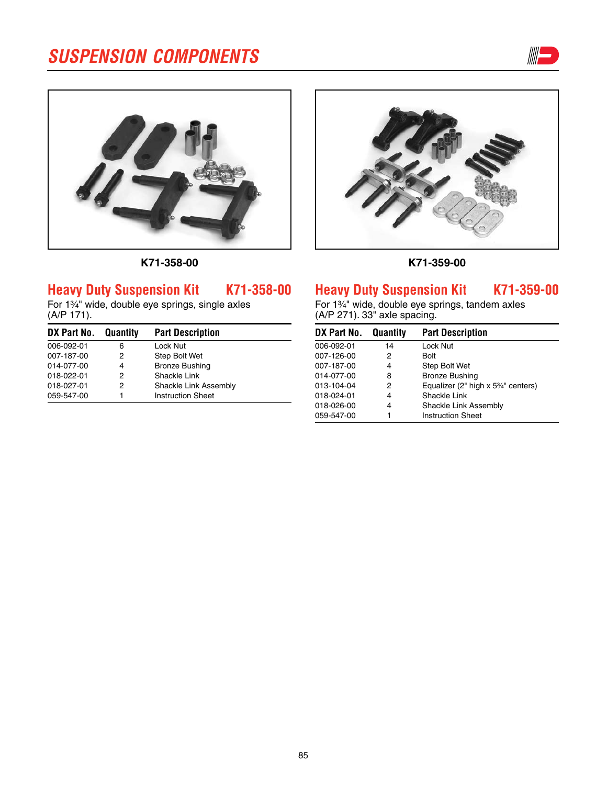



**k71-358-00**

# **Heavy Duty Suspension Kit K71-358-00**

For 13⁄4" wide, double eye springs, single axles (A/P 171).

| DX Part No. Quantity |   | <b>Part Description</b>  |
|----------------------|---|--------------------------|
| 006-092-01           | 6 | Lock Nut                 |
| 007-187-00           | 2 | Step Bolt Wet            |
| 014-077-00           | 4 | <b>Bronze Bushing</b>    |
| 018-022-01           | 2 | Shackle Link             |
| 018-027-01           | 2 | Shackle Link Assembly    |
| 059-547-00           |   | <b>Instruction Sheet</b> |



**k71-359-00**

## **Heavy Duty Suspension Kit K71-359-00**

For 1<sup>3/4"</sup> wide, double eye springs, tandem axles (A/P 271). 33" axle spacing.

| DX Part No. | Quantity | <b>Part Description</b>                                       |
|-------------|----------|---------------------------------------------------------------|
| 006-092-01  | 14       | Lock Nut                                                      |
| 007-126-00  | 2        | Bolt                                                          |
| 007-187-00  | 4        | Step Bolt Wet                                                 |
| 014-077-00  | 8        | <b>Bronze Bushing</b>                                         |
| 013-104-04  | 2        | Equalizer (2" high x 5 <sup>3</sup> / <sub>4</sub> " centers) |
| 018-024-01  | 4        | Shackle Link                                                  |
| 018-026-00  | 4        | Shackle Link Assembly                                         |
| 059-547-00  | 1        | <b>Instruction Sheet</b>                                      |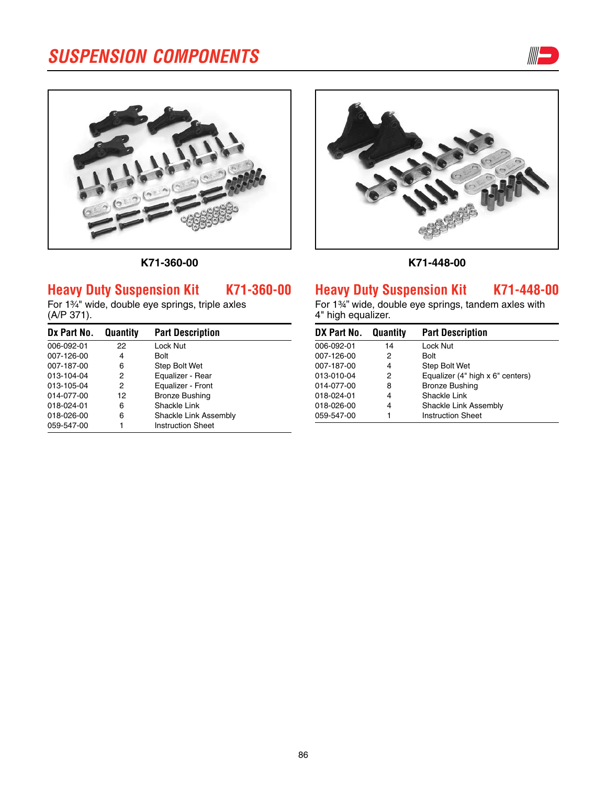



**k71-360-00**

# **Heavy Duty Suspension Kit K71-360-00**

For 1<sup>3/4"</sup> wide, double eye springs, triple axles (A/P 371).

| Dx Part No. | Quantity | <b>Part Description</b>  |
|-------------|----------|--------------------------|
| 006-092-01  | 22       | Lock Nut                 |
| 007-126-00  | 4        | Bolt                     |
| 007-187-00  | 6        | Step Bolt Wet            |
| 013-104-04  | 2        | Equalizer - Rear         |
| 013-105-04  | 2        | Equalizer - Front        |
| 014-077-00  | 12       | <b>Bronze Bushing</b>    |
| 018-024-01  | 6        | Shackle Link             |
| 018-026-00  | 6        | Shackle Link Assembly    |
| 059-547-00  |          | <b>Instruction Sheet</b> |



**k71-448-00**

# **Heavy Duty Suspension Kit K71-448-00**

For 1¾" wide, double eye springs, tandem axles with 4" high equalizer.

| DX Part No. | Quantity | <b>Part Description</b>          |
|-------------|----------|----------------------------------|
| 006-092-01  | 14       | Lock Nut                         |
| 007-126-00  | 2        | Bolt                             |
| 007-187-00  | 4        | Step Bolt Wet                    |
| 013-010-04  | 2        | Equalizer (4" high x 6" centers) |
| 014-077-00  | 8        | <b>Bronze Bushing</b>            |
| 018-024-01  | 4        | Shackle Link                     |
| 018-026-00  | 4        | Shackle Link Assembly            |
| 059-547-00  | 1        | <b>Instruction Sheet</b>         |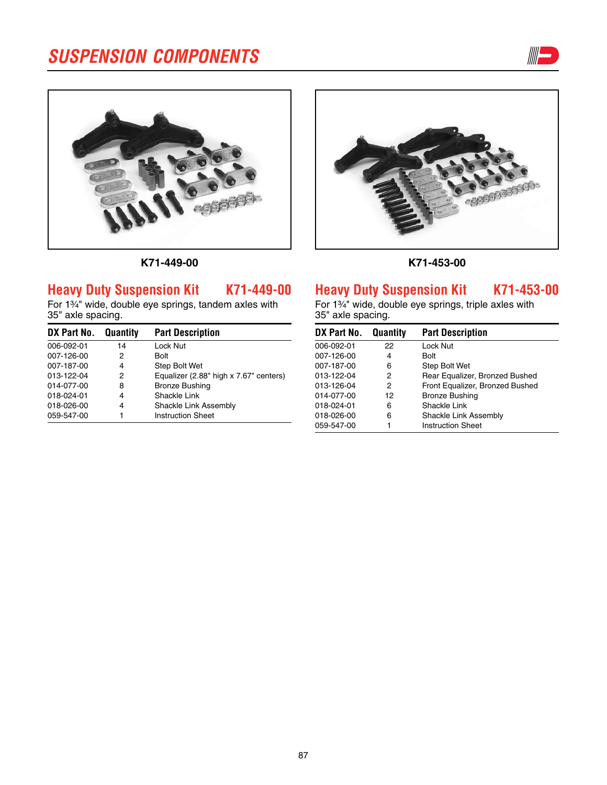





# **Heavy Duty Suspension Kit K71-449-00**

For 1<sup>3/4</sup>" wide, double eye springs, tandem axles with 35" axle spacing.

| DX Part No. | Quantity | <b>Part Description</b>                |
|-------------|----------|----------------------------------------|
| 006-092-01  | 14       | Lock Nut                               |
| 007-126-00  | 2        | Bolt                                   |
| 007-187-00  | 4        | Step Bolt Wet                          |
| 013-122-04  | 2        | Equalizer (2.88" high x 7.67" centers) |
| 014-077-00  | 8        | <b>Bronze Bushing</b>                  |
| 018-024-01  | 4        | Shackle Link                           |
| 018-026-00  | 4        | Shackle Link Assembly                  |
| 059-547-00  |          | <b>Instruction Sheet</b>               |



**k71-453-00**

# **Heavy Duty Suspension Kit K71-453-00**

For 1<sup>3/4"</sup> wide, double eye springs, triple axles with 35" axle spacing.

| DX Part No. | Quantity | <b>Part Description</b>         |
|-------------|----------|---------------------------------|
| 006-092-01  | 22       | Lock Nut                        |
| 007-126-00  | 4        | Bolt                            |
| 007-187-00  | 6        | Step Bolt Wet                   |
| 013-122-04  | 2        | Rear Equalizer, Bronzed Bushed  |
| 013-126-04  | 2        | Front Equalizer, Bronzed Bushed |
| 014-077-00  | 12       | <b>Bronze Bushing</b>           |
| 018-024-01  | 6        | Shackle Link                    |
| 018-026-00  | 6        | Shackle Link Assembly           |
| 059-547-00  | 1        | <b>Instruction Sheet</b>        |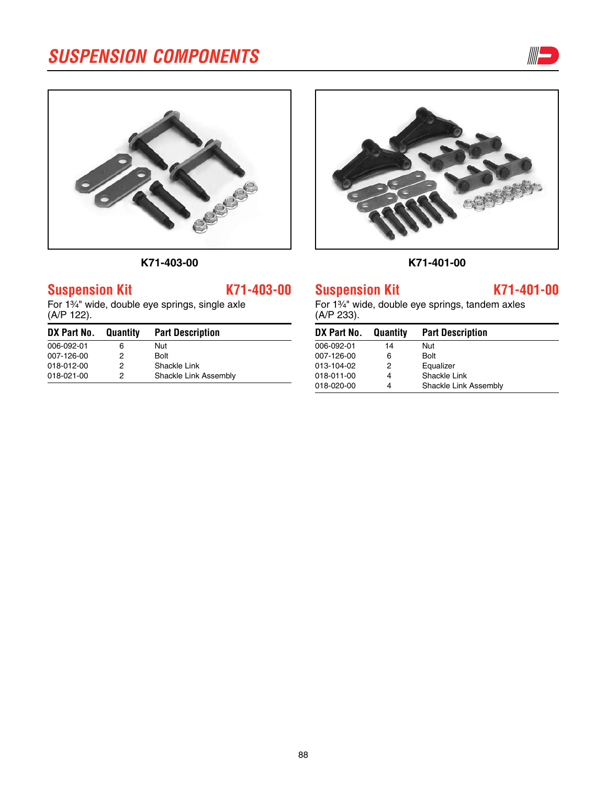



**k71-403-00**

# **Suspension Kit K71-403-00**

For 1<sup>3</sup>/<sub>4</sub>" wide, double eye springs, single axle (A/P 122).

| DX Part No. | Quantity | <b>Part Description</b> |
|-------------|----------|-------------------------|
| 006-092-01  | 6        | Nut                     |
| 007-126-00  | 2        | Bolt                    |
| 018-012-00  | 2        | Shackle Link            |
| 018-021-00  | 2        | Shackle Link Assembly   |



**k71-401-00**

### **Suspension Kit K71-401-00**

For 1<sup>3</sup>/<sub>4</sub>" wide, double eye springs, tandem axles (A/P 233).

| DX Part No. | Quantity | <b>Part Description</b> |
|-------------|----------|-------------------------|
| 006-092-01  | 14       | Nut                     |
| 007-126-00  | 6        | <b>Bolt</b>             |
| 013-104-02  | 2        | Equalizer               |
| 018-011-00  | 4        | Shackle Link            |
| 018-020-00  | 4        | Shackle Link Assembly   |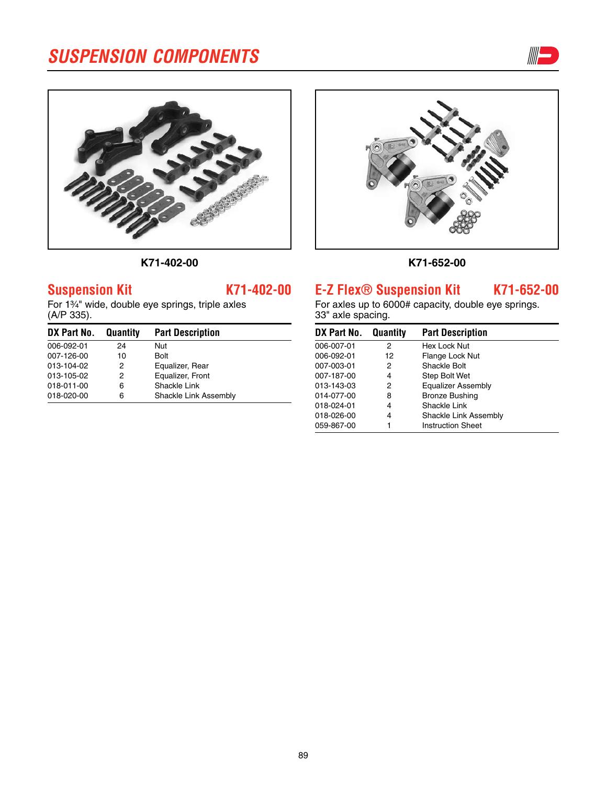



### **k71-402-00**

### **k71-652-00**

# **E-Z Flex® Suspension Kit K71-652-00**

For axles up to 6000# capacity, double eye springs. 33" axle spacing.

| DX Part No. | Quantity | <b>Part Description</b>  |
|-------------|----------|--------------------------|
| 006-007-01  | 2        | Hex Lock Nut             |
| 006-092-01  | 12       | Flange Lock Nut          |
| 007-003-01  | 2        | Shackle Bolt             |
| 007-187-00  | 4        | Step Bolt Wet            |
| 013-143-03  | 2        | Equalizer Assembly       |
| 014-077-00  | 8        | <b>Bronze Bushing</b>    |
| 018-024-01  | 4        | Shackle Link             |
| 018-026-00  | 4        | Shackle Link Assembly    |
| 059-867-00  |          | <b>Instruction Sheet</b> |

## **Suspension Kit K71-402-00**

For 1<sup>3</sup>/<sub>4</sub>" wide, double eye springs, triple axles (A/P 335).

| DX Part No. | Quantity | <b>Part Description</b> |
|-------------|----------|-------------------------|
| 006-092-01  | 24       | Nut                     |
| 007-126-00  | 10       | <b>Bolt</b>             |
| 013-104-02  | 2        | Equalizer, Rear         |
| 013-105-02  | 2        | Equalizer, Front        |
| 018-011-00  | 6        | Shackle Link            |
| 018-020-00  | 6        | Shackle Link Assembly   |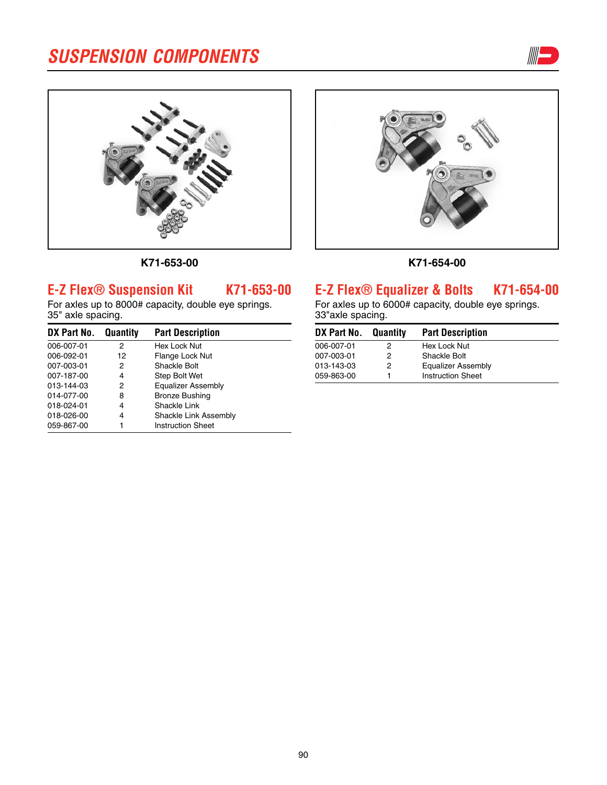





**K71-654-00**

# **E-Z Flex® Suspension Kit K71-653-00**

**k71-653-00**

For axles up to 8000# capacity, double eye springs. 35" axle spacing.

| DX Part No. | Quantity | <b>Part Description</b>  |
|-------------|----------|--------------------------|
| 006-007-01  | 2        | Hex Lock Nut             |
| 006-092-01  | 12       | Flange Lock Nut          |
| 007-003-01  | 2        | Shackle Bolt             |
| 007-187-00  | 4        | Step Bolt Wet            |
| 013-144-03  | 2        | Equalizer Assembly       |
| 014-077-00  | 8        | <b>Bronze Bushing</b>    |
| 018-024-01  | 4        | Shackle Link             |
| 018-026-00  | 4        | Shackle Link Assembly    |
| 059-867-00  |          | <b>Instruction Sheet</b> |

## **E-Z Flex® Equalizer & Bolts K71-654-00**

For axles up to 6000# capacity, double eye springs. 33"axle spacing.

| DX Part No. | Quantity | <b>Part Description</b>  |
|-------------|----------|--------------------------|
| 006-007-01  | 2        | Hex Lock Nut             |
| 007-003-01  | 2        | Shackle Bolt             |
| 013-143-03  | 2        | Equalizer Assembly       |
| 059-863-00  |          | <b>Instruction Sheet</b> |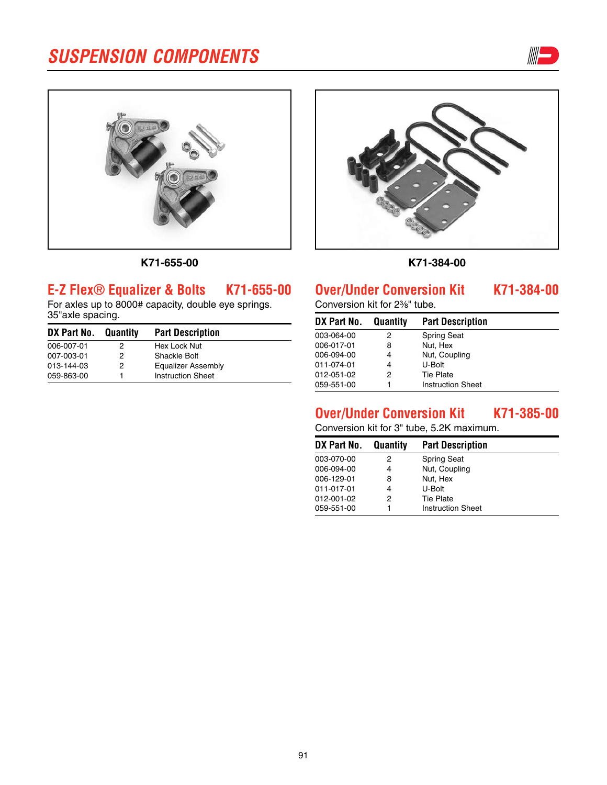



**K71-655-00**

# **E-Z Flex® Equalizer & Bolts K71-655-00**

For axles up to 8000# capacity, double eye springs. 35"axle spacing.

| DX Part No. Quantity |   | <b>Part Description</b>  |
|----------------------|---|--------------------------|
| 006-007-01           | 2 | Hex Lock Nut             |
| 007-003-01           | 2 | Shackle Bolt             |
| 013-144-03           | 2 | Equalizer Assembly       |
| 059-863-00           |   | <b>Instruction Sheet</b> |



**k71-384-00**

## **Over/Under Conversion Kit K71-384-00**

Conversion kit for 2%" tube.

| DX Part No. | Quantity | <b>Part Description</b>  |
|-------------|----------|--------------------------|
| 003-064-00  | 2        | <b>Spring Seat</b>       |
| 006-017-01  | 8        | Nut, Hex                 |
| 006-094-00  | 4        | Nut, Coupling            |
| 011-074-01  | 4        | U-Bolt                   |
| 012-051-02  | 2        | <b>Tie Plate</b>         |
| 059-551-00  |          | <b>Instruction Sheet</b> |

# **Over/Under Conversion Kit K71-385-00**

Conversion kit for 3" tube, 5.2K maximum.

| DX Part No. | Quantity | <b>Part Description</b>  |  |
|-------------|----------|--------------------------|--|
| 003-070-00  | 2        | <b>Spring Seat</b>       |  |
| 006-094-00  | 4        | Nut, Coupling            |  |
| 006-129-01  | 8        | Nut, Hex                 |  |
| 011-017-01  | 4        | U-Bolt                   |  |
| 012-001-02  | 2        | <b>Tie Plate</b>         |  |
| 059-551-00  |          | <b>Instruction Sheet</b> |  |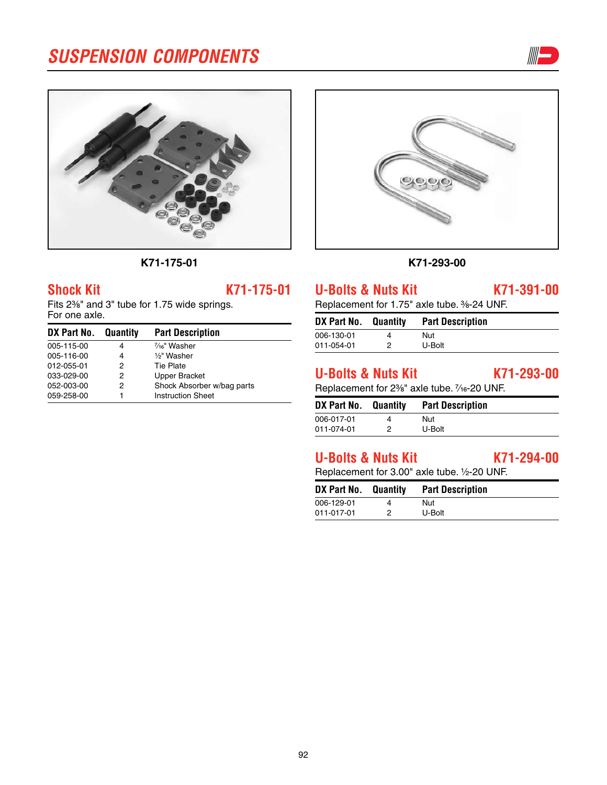



**k71-175-01**

### **Shock Kit K71-175-01**

Fits 2<sup>3</sup>%" and 3" tube for 1.75 wide springs. For one axle.

| DX Part No. Quantity |   | <b>Part Description</b>    |
|----------------------|---|----------------------------|
| 005-115-00           | 4 | $\frac{7}{16}$ " Washer    |
| 005-116-00           | 4 | 1/2" Washer                |
| 012-055-01           | 2 | Tie Plate                  |
| 033-029-00           | 2 | <b>Upper Bracket</b>       |
| 052-003-00           | 2 | Shock Absorber w/bag parts |
| 059-258-00           |   | <b>Instruction Sheet</b>   |



#### **k71-293-00**

**U-Bolts & Nuts Kit K71-391-00**

Replacement for 1.75" axle tube. 3/8-24 UNF.

| DX Part No. Quantity | <b>Part Description</b> |
|----------------------|-------------------------|
| 006-130-01           | Nut                     |
| 011-054-01           | U-Bolt                  |

# **U-Bolts & Nuts Kit K71-293-00**

Replacement for 2<sup>3</sup>/<sub>8</sub>" axle tube. 7/<sub>16</sub>-20 UNF.

| DX Part No. | Quantity | <b>Part Description</b> |
|-------------|----------|-------------------------|
| 006-017-01  | 4        | Nut                     |
| 011-074-01  | ႒        | U-Bolt                  |

# **U-Bolts & Nuts Kit K71-294-00**

Replacement for 3.00" axle tube. 1/2-20 UNF.

| DX Part No. Quantity | <b>Part Description</b> |
|----------------------|-------------------------|
| 006-129-01           | Nut                     |
| 011-017-01           | U-Bolt                  |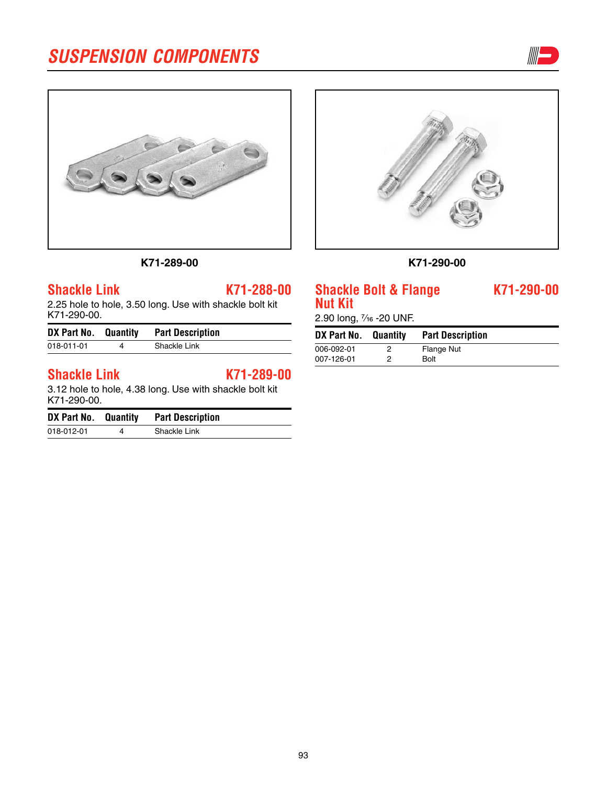



**k71-289-00**

**k71-290-00**

### **Shackle Bolt & Flange K71-290-00 Nut Kit**

2.90 long, 1/<sub>16</sub> - 20 UNF.

| DX Part No. | Quantity | <b>Part Description</b> |
|-------------|----------|-------------------------|
| 006-092-01  |          | <b>Flange Nut</b>       |
| 007-126-01  | 2        | <b>Bolt</b>             |
|             |          |                         |

## **Shackle Link K71-288-00**

2.25 hole to hole, 3.50 long. Use with shackle bolt kit K71-290-00.

| DX Part No. Quantity |   | <b>Part Description</b> |
|----------------------|---|-------------------------|
| 018-011-01           | Δ | Shackle Link            |
|                      |   |                         |

## **Shackle Link K71-289-00**

3.12 hole to hole, 4.38 long. Use with shackle bolt kit K71-290-00.

| DX Part No. Quantity | <b>Part Description</b> |
|----------------------|-------------------------|
| 018-012-01           | Shackle Link            |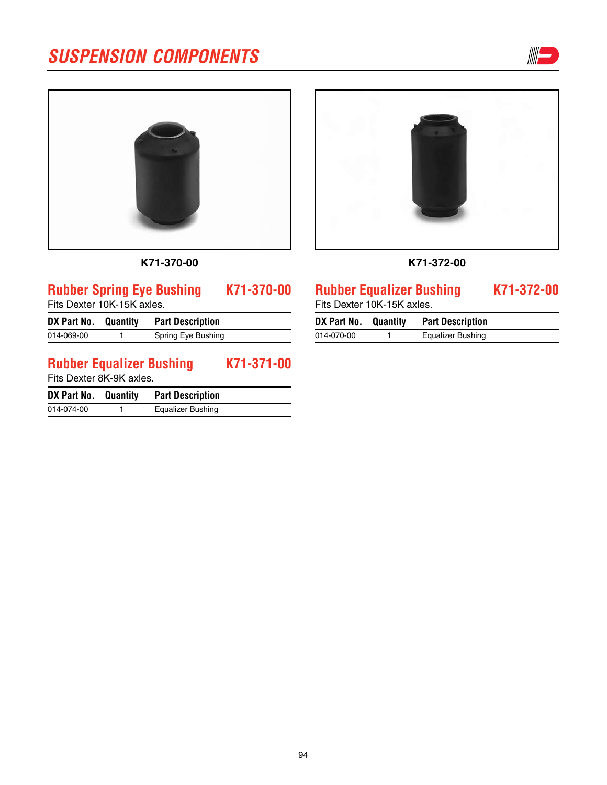





### **k71-372-00**

## **Rubber Spring Eye Bushing K71-370-00** Fits Dexter 10K-15K axles. **DX Part No. Quantity Part Description** 014-069-00 1 Spring Eye Bushing **Rubber Equalizer Bushing K71-371-00** Fits Dexter 8K-9K axles.

**k71-370-00**

| DX Part No. Quantity | <b>Part Description</b> |
|----------------------|-------------------------|
| 014-074-00           | Equalizer Bushing       |

## **Rubber Equalizer Bushing K71-372-00**

Fits Dexter 10K-15K axles.

| DX Part No. Quantity | <b>Part Description</b>  |  |
|----------------------|--------------------------|--|
| 014-070-00           | <b>Equalizer Bushing</b> |  |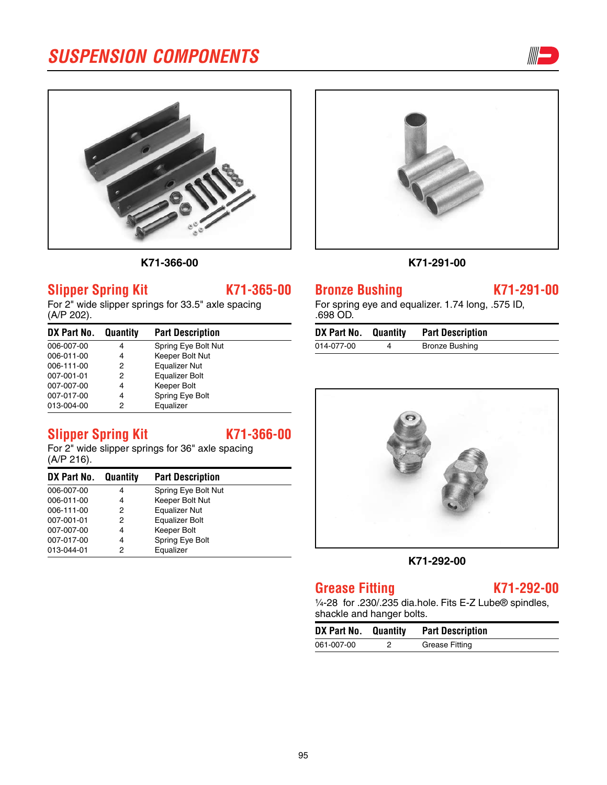



**k71-366-00**

## **Slipper Spring Kit K71-365-00**

For 2" wide slipper springs for 33.5" axle spacing (A/P 202).

| DX Part No. | Quantity | <b>Part Description</b> |  |
|-------------|----------|-------------------------|--|
| 006-007-00  | 4        | Spring Eye Bolt Nut     |  |
| 006-011-00  | 4        | Keeper Bolt Nut         |  |
| 006-111-00  | 2        | <b>Equalizer Nut</b>    |  |
| 007-001-01  | 2        | <b>Equalizer Bolt</b>   |  |
| 007-007-00  | 4        | Keeper Bolt             |  |
| 007-017-00  | 4        | Spring Eye Bolt         |  |
| 013-004-00  | 2        | Equalizer               |  |

# **Slipper Spring Kit K71-366-00**

For 2" wide slipper springs for 36" axle spacing (A/P 216).

| DX Part No. | Quantity | <b>Part Description</b> |  |
|-------------|----------|-------------------------|--|
| 006-007-00  | 4        | Spring Eye Bolt Nut     |  |
| 006-011-00  | 4        | Keeper Bolt Nut         |  |
| 006-111-00  | 2        | <b>Equalizer Nut</b>    |  |
| 007-001-01  | 2        | Equalizer Bolt          |  |
| 007-007-00  | 4        | Keeper Bolt             |  |
| 007-017-00  | 4        | Spring Eye Bolt         |  |
| 013-044-01  | 2        | Equalizer               |  |





## **Bronze Bushing K71-291-00**

For spring eye and equalizer. 1.74 long, .575 ID, .698 OD.

| DX Part No. Quantity | <b>Part Description</b> |
|----------------------|-------------------------|
| 014-077-00           | <b>Bronze Bushing</b>   |



#### **k71-292-00**

# **Grease Fitting K71-292-00**

1/4-28 for .230/.235 dia.hole. Fits E-Z Lube® spindles, shackle and hanger bolts.

| DX Part No. Quantity | <b>Part Description</b> |
|----------------------|-------------------------|
| 061-007-00           | Grease Fitting          |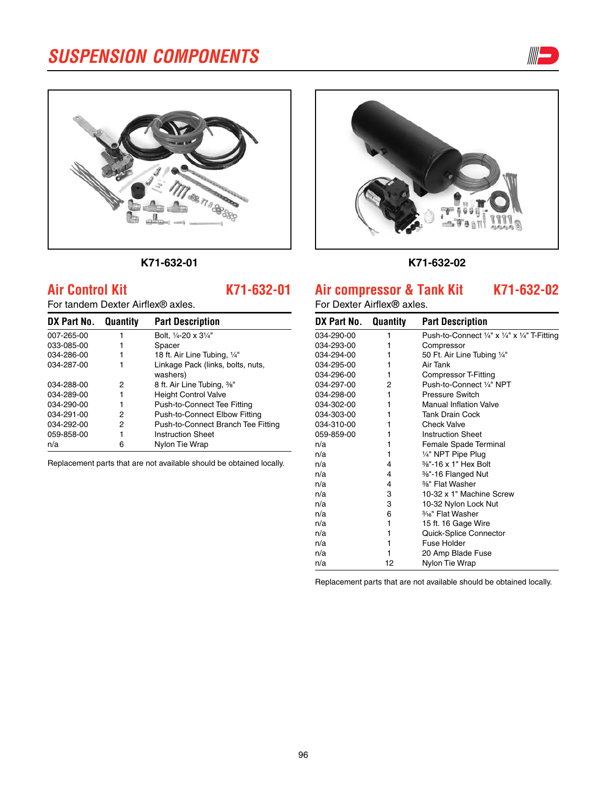



### **k71-632-01**

## **Air Control Kit K71-632-01**

For tandem Dexter Airflex® axles.

| DX Part No. | Quantity | <b>Part Description</b>                       |
|-------------|----------|-----------------------------------------------|
| 007-265-00  |          | Bolt, 1/4-20 x 31/4"                          |
| 033-085-00  |          | Spacer                                        |
| 034-286-00  |          | 18 ft. Air Line Tubing, 1/4"                  |
| 034-287-00  |          | Linkage Pack (links, bolts, nuts,<br>washers) |
| 034-288-00  | 2        | 8 ft. Air Line Tubing, 3/8"                   |
| 034-289-00  |          | <b>Height Control Valve</b>                   |
| 034-290-00  |          | Push-to-Connect Tee Fitting                   |
| 034-291-00  | 2        | Push-to-Connect Elbow Fitting                 |
| 034-292-00  | 2        | Push-to-Connect Branch Tee Fitting            |
| 059-858-00  |          | <b>Instruction Sheet</b>                      |
| n/a         | 6        | Nylon Tie Wrap                                |

Replacement parts that are not available should be obtained locally.



#### **k71-632-02**

### **Air compressor & Tank Kit K71-632-02**

For Dexter Airflex**®** axles.

| DX Part No. Quantity |    | <b>Part Description</b>                                                       |
|----------------------|----|-------------------------------------------------------------------------------|
| 034-290-00           | 1  | Push-to-Connect $\frac{1}{4}$ " x $\frac{1}{4}$ " x $\frac{1}{4}$ " T-Fitting |
| 034-293-00           | 1  | Compressor                                                                    |
| 034-294-00           | 1  | 50 Ft. Air Line Tubing 1/4"                                                   |
| 034-295-00           | 1  | Air Tank                                                                      |
| 034-296-00           | 1  | Compressor T-Fitting                                                          |
| 034-297-00           | 2  | Push-to-Connect 1/4" NPT                                                      |
| 034-298-00           | 1  | Pressure Switch                                                               |
| 034-302-00           | 1  | <b>Manual Inflation Valve</b>                                                 |
| 034-303-00           | 1  | <b>Tank Drain Cock</b>                                                        |
| 034-310-00           | 1  | <b>Check Valve</b>                                                            |
| 059-859-00           | 1  | <b>Instruction Sheet</b>                                                      |
| n/a                  | 1  | Female Spade Terminal                                                         |
| n/a                  | 1  | 1/4" NPT Pipe Plug                                                            |
| n/a                  | 4  | %"-16 x 1" Hex Bolt                                                           |
| n/a                  | 4  | 3%"-16 Flanged Nut                                                            |
| n/a                  | 4  | %" Flat Washer                                                                |
| n/a                  | 3  | 10-32 x 1" Machine Screw                                                      |
| n/a                  | 3  | 10-32 Nylon Lock Nut                                                          |
| n/a                  | 6  | 3/16" Flat Washer                                                             |
| n/a                  | 1  | 15 ft. 16 Gage Wire                                                           |
| n/a                  | 1  | Quick-Splice Connector                                                        |
| n/a                  | 1  | Fuse Holder                                                                   |
| n/a                  | 1  | 20 Amp Blade Fuse                                                             |
| n/a                  | 12 | Nylon Tie Wrap                                                                |

Replacement parts that are not available should be obtained locally.